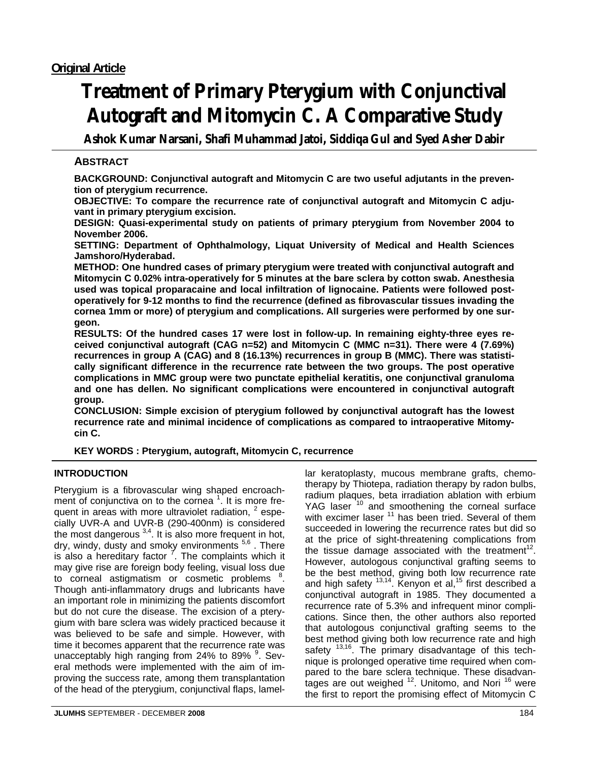# **Treatment of Primary Pterygium with Conjunctival Autograft and Mitomycin C. A Comparative Study**

**Ashok Kumar Narsani, Shafi Muhammad Jatoi, Siddiqa Gul and Syed Asher Dabir** 

# **ABSTRACT**

**BACKGROUND: Conjunctival autograft and Mitomycin C are two useful adjutants in the prevention of pterygium recurrence.** 

**OBJECTIVE: To compare the recurrence rate of conjunctival autograft and Mitomycin C adjuvant in primary pterygium excision.** 

**DESIGN: Quasi-experimental study on patients of primary pterygium from November 2004 to November 2006.** 

**SETTING: Department of Ophthalmology, Liquat University of Medical and Health Sciences Jamshoro/Hyderabad.** 

**METHOD: One hundred cases of primary pterygium were treated with conjunctival autograft and Mitomycin C 0.02% intra-operatively for 5 minutes at the bare sclera by cotton swab. Anesthesia used was topical proparacaine and local infiltration of lignocaine. Patients were followed postoperatively for 9-12 months to find the recurrence (defined as fibrovascular tissues invading the cornea 1mm or more) of pterygium and complications. All surgeries were performed by one surgeon.** 

**RESULTS: Of the hundred cases 17 were lost in follow-up. In remaining eighty-three eyes received conjunctival autograft (CAG n=52) and Mitomycin C (MMC n=31). There were 4 (7.69%) recurrences in group A (CAG) and 8 (16.13%) recurrences in group B (MMC). There was statistically significant difference in the recurrence rate between the two groups. The post operative complications in MMC group were two punctate epithelial keratitis, one conjunctival granuloma and one has dellen. No significant complications were encountered in conjunctival autograft group.** 

**CONCLUSION: Simple excision of pterygium followed by conjunctival autograft has the lowest recurrence rate and minimal incidence of complications as compared to intraoperative Mitomycin C.** 

## **KEY WORDS : Pterygium, autograft, Mitomycin C, recurrence**

#### **INTRODUCTION**

Pterygium is a fibrovascular wing shaped encroachment of conjunctiva on to the cornea<sup>1</sup>. It is more frequent in areas with more ultraviolet radiation,  $2$  especially UVR-A and UVR-B (290-400nm) is considered the most dangerous  $3,4$ . It is also more frequent in hot, dry, windy, dusty and smoky environments <sup>5,6</sup>. There is also a hereditary factor  $\vec{ }$ . The complaints which it may give rise are foreign body feeling, visual loss due to corneal astigmatism or cosmetic problems <sup>8</sup>. Though anti-inflammatory drugs and lubricants have an important role in minimizing the patients discomfort but do not cure the disease. The excision of a pterygium with bare sclera was widely practiced because it was believed to be safe and simple. However, with time it becomes apparent that the recurrence rate was unacceptably high ranging from 24% to 89% <sup>9</sup>. Several methods were implemented with the aim of improving the success rate, among them transplantation of the head of the pterygium, conjunctival flaps, lamel-

lar keratoplasty, mucous membrane grafts, chemotherapy by Thiotepa, radiation therapy by radon bulbs, radium plaques, beta irradiation ablation with erbium YAG laser <sup>10</sup> and smoothening the corneal surface with excimer laser <sup>11</sup> has been tried. Several of them succeeded in lowering the recurrence rates but did so at the price of sight-threatening complications from the tissue damage associated with the treatment<sup>12</sup>. However, autologous conjunctival grafting seems to be the best method, giving both low recurrence rate and high safety  $13,14$ . Kenyon et al,  $15$  first described a conjunctival autograft in 1985. They documented a recurrence rate of 5.3% and infrequent minor complications. Since then, the other authors also reported that autologous conjunctival grafting seems to the best method giving both low recurrence rate and high safety  $13,16$ . The primary disadvantage of this technique is prolonged operative time required when compared to the bare sclera technique. These disadvantages are out weighed  $12$ . Unitomo, and Nori  $16$  were the first to report the promising effect of Mitomycin C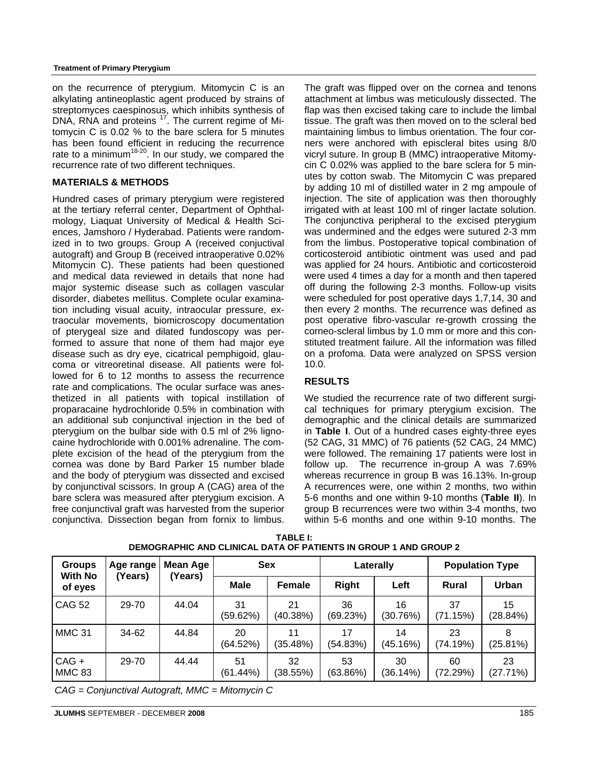#### **Treatment of Primary Pterygium**

on the recurrence of pterygium. Mitomycin C is an alkylating antineoplastic agent produced by strains of streptomyces caespinosus, which inhibits synthesis of DNA, RNA and proteins <sup>17</sup>. The current regime of Mitomycin C is 0.02 % to the bare sclera for 5 minutes has been found efficient in reducing the recurrence rate to a minimum<sup>18-20</sup>. In our study, we compared the recurrence rate of two different techniques.

#### **MATERIALS & METHODS**

Hundred cases of primary pterygium were registered at the tertiary referral center, Department of Ophthalmology, Liaquat University of Medical & Health Sciences, Jamshoro / Hyderabad. Patients were randomized in to two groups. Group A (received conjuctival autograft) and Group B (received intraoperative 0.02% Mitomycin C). These patients had been questioned and medical data reviewed in details that none had major systemic disease such as collagen vascular disorder, diabetes mellitus. Complete ocular examination including visual acuity, intraocular pressure, extraocular movements, biomicroscopy documentation of pterygeal size and dilated fundoscopy was performed to assure that none of them had major eye disease such as dry eye, cicatrical pemphigoid, glaucoma or vitreoretinal disease. All patients were followed for 6 to 12 months to assess the recurrence rate and complications. The ocular surface was anesthetized in all patients with topical instillation of proparacaine hydrochloride 0.5% in combination with an additional sub conjunctival injection in the bed of pterygium on the bulbar side with 0.5 ml of 2% lignocaine hydrochloride with 0.001% adrenaline. The complete excision of the head of the pterygium from the cornea was done by Bard Parker 15 number blade and the body of pterygium was dissected and excised by conjunctival scissors. In group A (CAG) area of the bare sclera was measured after pterygium excision. A free conjunctival graft was harvested from the superior conjunctiva. Dissection began from fornix to limbus. The graft was flipped over on the cornea and tenons attachment at limbus was meticulously dissected. The flap was then excised taking care to include the limbal tissue. The graft was then moved on to the scleral bed maintaining limbus to limbus orientation. The four corners were anchored with episcleral bites using 8/0 vicryl suture. In group B (MMC) intraoperative Mitomycin C 0.02% was applied to the bare sclera for 5 minutes by cotton swab. The Mitomycin C was prepared by adding 10 ml of distilled water in 2 mg ampoule of injection. The site of application was then thoroughly irrigated with at least 100 ml of ringer lactate solution. The conjunctiva peripheral to the excised pterygium was undermined and the edges were sutured 2-3 mm from the limbus. Postoperative topical combination of corticosteroid antibiotic ointment was used and pad was applied for 24 hours. Antibiotic and corticosteroid were used 4 times a day for a month and then tapered off during the following 2-3 months. Follow-up visits were scheduled for post operative days 1,7,14, 30 and then every 2 months. The recurrence was defined as post operative fibro-vascular re-growth crossing the corneo-scleral limbus by 1.0 mm or more and this constituted treatment failure. All the information was filled on a profoma. Data were analyzed on SPSS version 10.0.

### **RESULTS**

We studied the recurrence rate of two different surgical techniques for primary pterygium excision. The demographic and the clinical details are summarized in **Table I**. Out of a hundred cases eighty-three eyes (52 CAG, 31 MMC) of 76 patients (52 CAG, 24 MMC) were followed. The remaining 17 patients were lost in follow up. The recurrence in-group A was 7.69% whereas recurrence in group B was 16.13%. In-group A recurrences were, one within 2 months, two within 5-6 months and one within 9-10 months (**Table II**). In group B recurrences were two within 3-4 months, two within 5-6 months and one within 9-10 months. The

| <b>Groups</b><br><b>With No</b><br>of eyes | Age range<br>(Years) | Mean Age<br>(Years) | <b>Sex</b>        |                | Laterally      |                | <b>Population Type</b> |                |
|--------------------------------------------|----------------------|---------------------|-------------------|----------------|----------------|----------------|------------------------|----------------|
|                                            |                      |                     | <b>Male</b>       | Female         | <b>Right</b>   | Left           | Rural                  | Urban          |
| <b>CAG 52</b>                              | 29-70                | 44.04               | 31<br>(59.62%)    | 21<br>(40.38%) | 36<br>(69.23%) | 16<br>(30.76%) | 37<br>(71.15%)         | 15<br>(28.84%) |
| MMC <sub>31</sub>                          | 34-62                | 44.84               | 20<br>(64.52%)    | 11<br>(35.48%) | 17<br>(54.83%) | 14<br>(45.16%) | 23<br>(74.19%)         | 8<br>(25.81%)  |
| $CAG +$<br>MMC 83                          | 29-70                | 44.44               | 51<br>$(61.44\%)$ | 32<br>(38.55%) | 53<br>(63.86%) | 30<br>(36.14%) | 60<br>(72.29%)         | 23<br>(27.71%) |

**TABLE I: DEMOGRAPHIC AND CLINICAL DATA OF PATIENTS IN GROUP 1 AND GROUP 2**

*CAG = Conjunctival Autograft, MMC = Mitomycin C*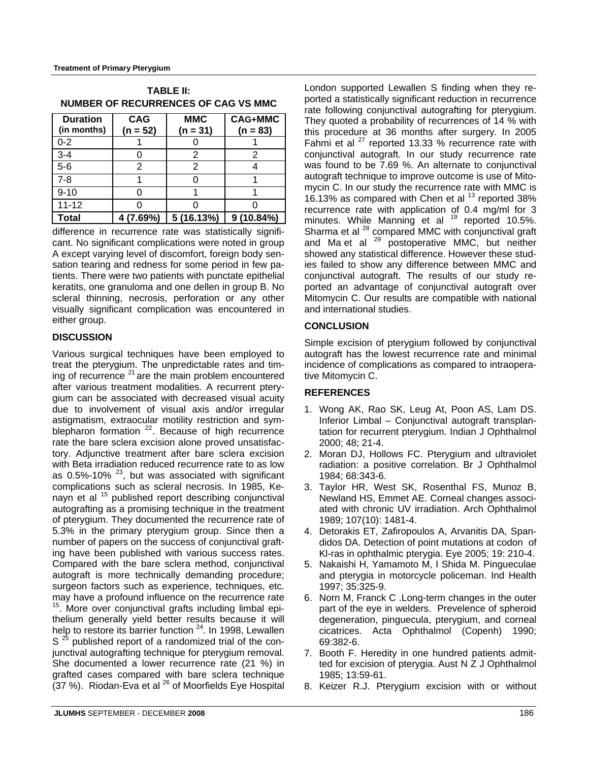| NUMBER UF RECURRENCES UF CAG VS MIMC |                          |                          |                              |  |  |  |  |  |
|--------------------------------------|--------------------------|--------------------------|------------------------------|--|--|--|--|--|
| <b>Duration</b><br>(in months)       | <b>CAG</b><br>$(n = 52)$ | <b>MMC</b><br>$(n = 31)$ | <b>CAG+MMC</b><br>$(n = 83)$ |  |  |  |  |  |
| $0 - 2$                              |                          |                          |                              |  |  |  |  |  |
| $3 - 4$                              |                          | 2                        | 2                            |  |  |  |  |  |
| $5-6$                                | 2                        | 2                        |                              |  |  |  |  |  |
| $7 - 8$                              |                          |                          |                              |  |  |  |  |  |
| $9 - 10$                             |                          |                          |                              |  |  |  |  |  |
| $11 - 12$                            |                          |                          |                              |  |  |  |  |  |
| Total                                | $4(7.69\%)$              | 5(16.13%)                | $9(10.84\%)$                 |  |  |  |  |  |

**TABLE II: NUMBER OF RECURRENCES OF CAG VS MMC** 

difference in recurrence rate was statistically significant. No significant complications were noted in group A except varying level of discomfort, foreign body sensation tearing and redness for some period in few patients. There were two patients with punctate epithelial keratits, one granuloma and one dellen in group B. No scleral thinning, necrosis, perforation or any other visually significant complication was encountered in either group.

#### **DISCUSSION**

Various surgical techniques have been employed to treat the pterygium. The unpredictable rates and timing of recurrence  $2<sup>1</sup>$  are the main problem encountered after various treatment modalities. A recurrent pterygium can be associated with decreased visual acuity due to involvement of visual axis and/or irregular astigmatism, extraocular motility restriction and symblepharon formation  $^{22}$ . Because of high recurrence rate the bare sclera excision alone proved unsatisfactory. Adjunctive treatment after bare sclera excision with Beta irradiation reduced recurrence rate to as low as 0.5%-10% <sup>23</sup>, but was associated with significant complications such as scleral necrosis. In 1985, Kenayn et al <sup>15</sup> published report describing conjunctival autografting as a promising technique in the treatment of pterygium. They documented the recurrence rate of 5.3% in the primary pterygium group. Since then a number of papers on the success of conjunctival grafting have been published with various success rates. Compared with the bare sclera method, conjunctival autograft is more technically demanding procedure; surgeon factors such as experience, techniques, etc. may have a profound influence on the recurrence rate <sup>15</sup>. More over conjunctival grafts including limbal epithelium generally yield better results because it will help to restore its barrier function <sup>24</sup>. In 1998, Lewallen S  $^{25}$  published report of a randomized trial of the conjunctival autografting technique for pterygium removal. She documented a lower recurrence rate (21 %) in grafted cases compared with bare sclera technique (37 %). Riodan-Eva et al 26 of Moorfields Eye Hospital London supported Lewallen S finding when they reported a statistically significant reduction in recurrence rate following conjunctival autografting for pterygium. They quoted a probability of recurrences of 14 % with this procedure at 36 months after surgery. In 2005 Fahmi et al  $27$  reported 13.33 % recurrence rate with conjunctival autograft. In our study recurrence rate was found to be 7.69 %. An alternate to conjunctival autograft technique to improve outcome is use of Mitomycin C. In our study the recurrence rate with MMC is 16.13% as compared with Chen et al <sup>13</sup> reported 38% recurrence rate with application of 0.4 mg/ml for 3 minutes. While Manning et al  $^{19}$  reported 10.5%. Sharma et al <sup>28</sup> compared MMC with conjunctival graft and Ma et al <sup>29</sup> postoperative MMC, but neither showed any statistical difference. However these studies failed to show any difference between MMC and conjunctival autograft. The results of our study reported an advantage of conjunctival autograft over Mitomycin C. Our results are compatible with national and international studies.

#### **CONCLUSION**

Simple excision of pterygium followed by conjunctival autograft has the lowest recurrence rate and minimal incidence of complications as compared to intraoperative Mitomycin C.

#### **REFERENCES**

- 1. Wong AK, Rao SK, Leug At, Poon AS, Lam DS. Inferior Limbal – Conjunctival autograft transplantation for recurrent pterygium. Indian J Ophthalmol 2000; 48; 21-4.
- 2. Moran DJ, Hollows FC. Pterygium and ultraviolet radiation: a positive correlation. Br J Ophthalmol 1984; 68:343-6.
- 3. Taylor HR, West SK, Rosenthal FS, Munoz B, Newland HS, Emmet AE. Corneal changes associated with chronic UV irradiation. Arch Ophthalmol 1989; 107(10): 1481-4.
- 4. Detorakis ET, Zafiropoulos A, Arvanitis DA, Spandidos DA. Detection of point mutations at codon of Kl-ras in ophthalmic pterygia. Eye 2005; 19: 210-4.
- 5. Nakaishi H, Yamamoto M, I Shida M. Pingueculae and pterygia in motorcycle policeman. Ind Health 1997; 35:325-9.
- 6. Norn M, Franck C .Long-term changes in the outer part of the eye in welders. Prevelence of spheroid degeneration, pinguecula, pterygium, and corneal cicatrices. Acta Ophthalmol (Copenh) 1990; 69:382-6.
- 7. Booth F. Heredity in one hundred patients admitted for excision of pterygia. Aust N Z J Ophthalmol 1985; 13:59-61.
- 8. Keizer R.J. Pterygium excision with or without